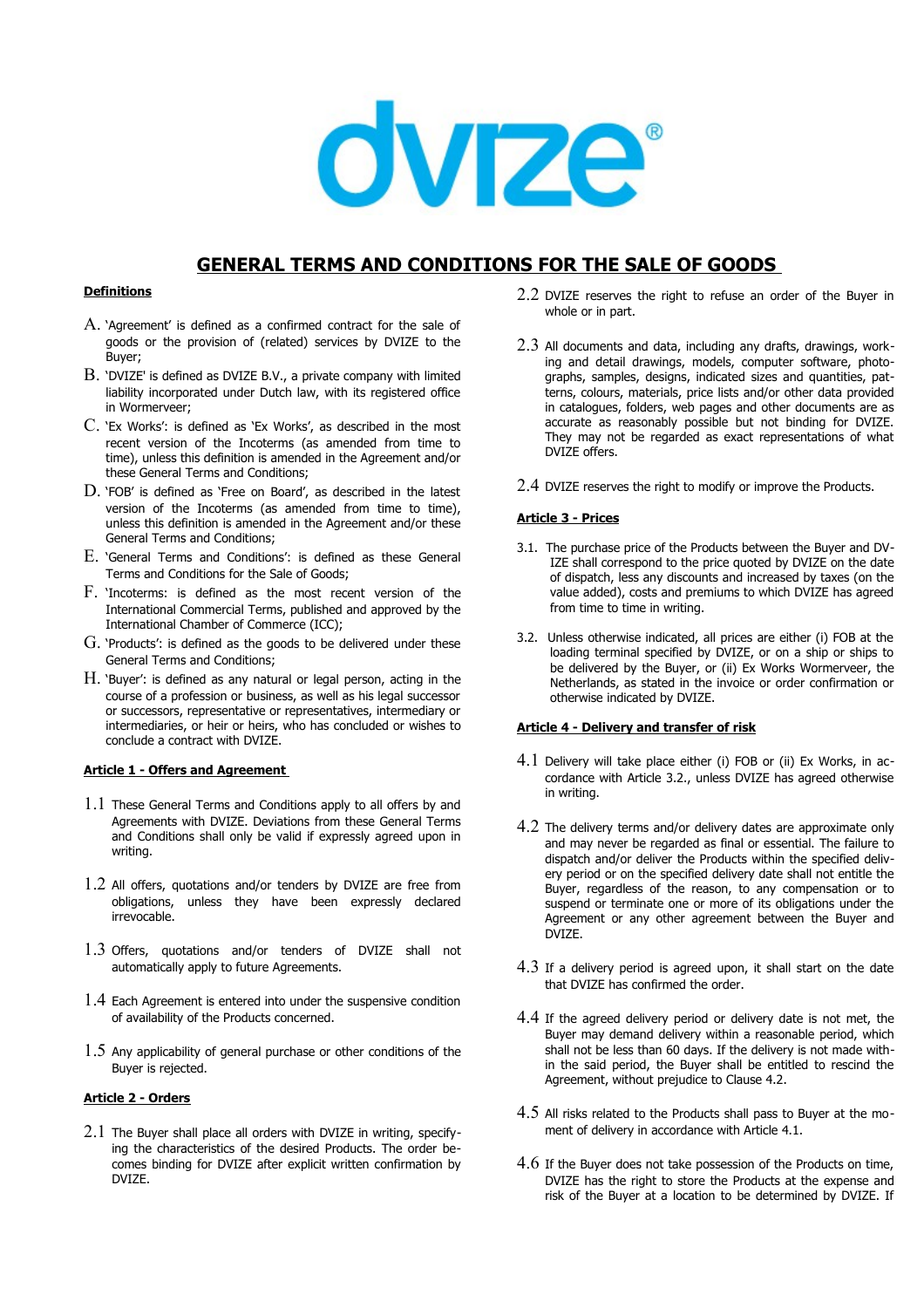

# **GENERAL TERMS AND CONDITIONS FOR THE SALE OF GOODS**

## **Definitions**

- A. 'Agreement' is defined as a confirmed contract for the sale of goods or the provision of (related) services by DVIZE to the Buyer;
- B. 'DVIZE' is defined as DVIZE B.V., a private company with limited liability incorporated under Dutch law, with its registered office in Wormerveer;
- C. 'Ex Works': is defined as 'Ex Works', as described in the most recent version of the Incoterms (as amended from time to time), unless this definition is amended in the Agreement and/or these General Terms and Conditions;
- D. 'FOB' is defined as 'Free on Board', as described in the latest version of the Incoterms (as amended from time to time), unless this definition is amended in the Agreement and/or these General Terms and Conditions;
- E. 'General Terms and Conditions': is defined as these General Terms and Conditions for the Sale of Goods;
- F. 'Incoterms: is defined as the most recent version of the International Commercial Terms, published and approved by the International Chamber of Commerce (ICC);
- G. 'Products': is defined as the goods to be delivered under these General Terms and Conditions;
- H. 'Buyer': is defined as any natural or legal person, acting in the course of a profession or business, as well as his legal successor or successors, representative or representatives, intermediary or intermediaries, or heir or heirs, who has concluded or wishes to conclude a contract with DVIZE.

# **Article 1 - Offers and Agreement**

- 1.1 These General Terms and Conditions apply to all offers by and Agreements with DVIZE. Deviations from these General Terms and Conditions shall only be valid if expressly agreed upon in writing.
- 1.2 All offers, quotations and/or tenders by DVIZE are free from obligations, unless they have been expressly declared irrevocable.
- 1.3 Offers, quotations and/or tenders of DVIZE shall not automatically apply to future Agreements.
- 1.4 Each Agreement is entered into under the suspensive condition of availability of the Products concerned.
- $1.5$  Any applicability of general purchase or other conditions of the Buyer is rejected.

# **Article 2 - Orders**

 $2.1$  The Buver shall place all orders with DVIZE in writing, specifying the characteristics of the desired Products. The order becomes binding for DVIZE after explicit written confirmation by DVIZE.

- 2.2 DVIZE reserves the right to refuse an order of the Buyer in whole or in part.
- 2.3 All documents and data, including any drafts, drawings, working and detail drawings, models, computer software, photographs, samples, designs, indicated sizes and quantities, patterns, colours, materials, price lists and/or other data provided in catalogues, folders, web pages and other documents are as accurate as reasonably possible but not binding for DVIZE. They may not be regarded as exact representations of what DVIZE offers.
- 2.4 DVIZE reserves the right to modify or improve the Products.

# **Article 3 - Prices**

- 3.1. The purchase price of the Products between the Buyer and DV-IZE shall correspond to the price quoted by DVIZE on the date of dispatch, less any discounts and increased by taxes (on the value added), costs and premiums to which DVIZE has agreed from time to time in writing.
- 3.2. Unless otherwise indicated, all prices are either (i) FOB at the loading terminal specified by DVIZE, or on a ship or ships to be delivered by the Buyer, or (ii) Ex Works Wormerveer, the Netherlands, as stated in the invoice or order confirmation or otherwise indicated by DVIZE.

## **Article 4 - Delivery and transfer of risk**

- 4.1 Delivery will take place either (i) FOB or (ii) Ex Works, in accordance with Article 3.2., unless DVIZE has agreed otherwise in writing.
- 4.2 The delivery terms and/or delivery dates are approximate only and may never be regarded as final or essential. The failure to dispatch and/or deliver the Products within the specified delivery period or on the specified delivery date shall not entitle the Buyer, regardless of the reason, to any compensation or to suspend or terminate one or more of its obligations under the Agreement or any other agreement between the Buyer and DVIZE.
- $4.3$  If a delivery period is agreed upon, it shall start on the date that DVIZE has confirmed the order.
- 4.4 If the agreed delivery period or delivery date is not met, the Buyer may demand delivery within a reasonable period, which shall not be less than 60 days. If the delivery is not made within the said period, the Buyer shall be entitled to rescind the Agreement, without prejudice to Clause 4.2.
- 4.5 All risks related to the Products shall pass to Buyer at the moment of delivery in accordance with Article 4.1.
- 4.6 If the Buyer does not take possession of the Products on time, DVIZE has the right to store the Products at the expense and risk of the Buyer at a location to be determined by DVIZE. If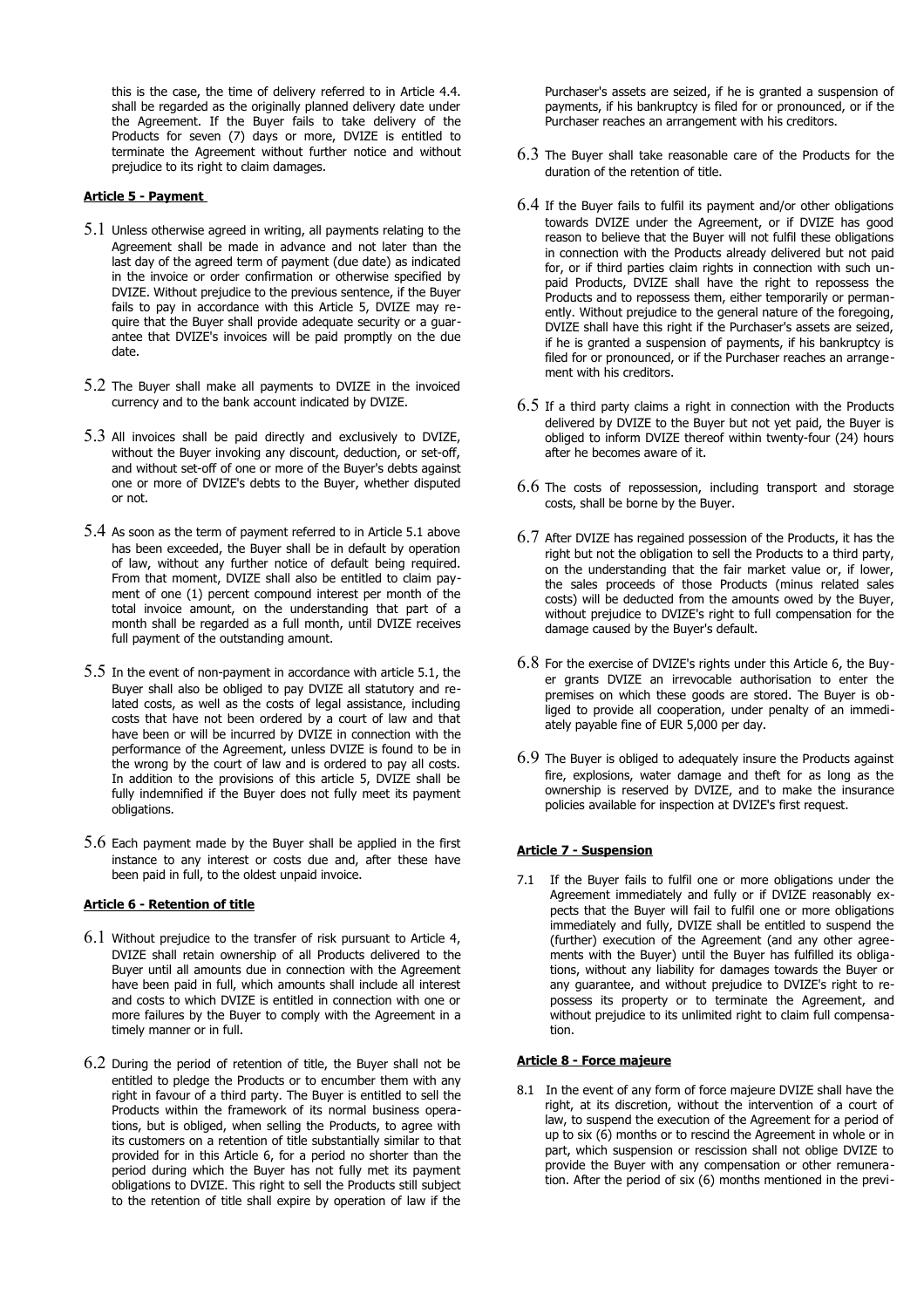this is the case, the time of delivery referred to in Article 4.4. shall be regarded as the originally planned delivery date under the Agreement. If the Buyer fails to take delivery of the Products for seven (7) days or more, DVIZE is entitled to terminate the Agreement without further notice and without prejudice to its right to claim damages.

# **Article 5 - Payment**

- 5.1 Unless otherwise agreed in writing, all payments relating to the Agreement shall be made in advance and not later than the last day of the agreed term of payment (due date) as indicated in the invoice or order confirmation or otherwise specified by DVIZE. Without prejudice to the previous sentence, if the Buyer fails to pay in accordance with this Article 5, DVIZE may require that the Buyer shall provide adequate security or a guarantee that DVIZE's invoices will be paid promptly on the due date.
- 5.2 The Buyer shall make all payments to DVIZE in the invoiced currency and to the bank account indicated by DVIZE.
- 5.3 All invoices shall be paid directly and exclusively to DVIZE, without the Buyer invoking any discount, deduction, or set-off, and without set-off of one or more of the Buyer's debts against one or more of DVIZE's debts to the Buyer, whether disputed or not.
- 5.4 As soon as the term of payment referred to in Article 5.1 above has been exceeded, the Buyer shall be in default by operation of law, without any further notice of default being required. From that moment, DVIZE shall also be entitled to claim payment of one (1) percent compound interest per month of the total invoice amount, on the understanding that part of a month shall be regarded as a full month, until DVIZE receives full payment of the outstanding amount.
- 5.5 In the event of non-payment in accordance with article 5.1, the Buyer shall also be obliged to pay DVIZE all statutory and related costs, as well as the costs of legal assistance, including costs that have not been ordered by a court of law and that have been or will be incurred by DVIZE in connection with the performance of the Agreement, unless DVIZE is found to be in the wrong by the court of law and is ordered to pay all costs. In addition to the provisions of this article 5, DVIZE shall be fully indemnified if the Buyer does not fully meet its payment obligations.
- 5.6 Each payment made by the Buyer shall be applied in the first instance to any interest or costs due and, after these have been paid in full, to the oldest unpaid invoice.

## **Article 6 - Retention of title**

- 6.1 Without prejudice to the transfer of risk pursuant to Article 4, DVIZE shall retain ownership of all Products delivered to the Buyer until all amounts due in connection with the Agreement have been paid in full, which amounts shall include all interest and costs to which DVIZE is entitled in connection with one or more failures by the Buyer to comply with the Agreement in a timely manner or in full.
- 6.2 During the period of retention of title, the Buyer shall not be entitled to pledge the Products or to encumber them with any right in favour of a third party. The Buyer is entitled to sell the Products within the framework of its normal business operations, but is obliged, when selling the Products, to agree with its customers on a retention of title substantially similar to that provided for in this Article 6, for a period no shorter than the period during which the Buyer has not fully met its payment obligations to DVIZE. This right to sell the Products still subject to the retention of title shall expire by operation of law if the

Purchaser's assets are seized, if he is granted a suspension of payments, if his bankruptcy is filed for or pronounced, or if the Purchaser reaches an arrangement with his creditors.

- 6.3 The Buyer shall take reasonable care of the Products for the duration of the retention of title.
- 6.4 If the Buyer fails to fulfil its payment and/or other obligations towards DVIZE under the Agreement, or if DVIZE has good reason to believe that the Buyer will not fulfil these obligations in connection with the Products already delivered but not paid for, or if third parties claim rights in connection with such unpaid Products, DVIZE shall have the right to repossess the Products and to repossess them, either temporarily or permanently. Without prejudice to the general nature of the foregoing, DVIZE shall have this right if the Purchaser's assets are seized, if he is granted a suspension of payments, if his bankruptcy is filed for or pronounced, or if the Purchaser reaches an arrangement with his creditors.
- $6.5$  If a third party claims a right in connection with the Products delivered by DVIZE to the Buyer but not yet paid, the Buyer is obliged to inform DVIZE thereof within twenty-four (24) hours after he becomes aware of it.
- 6.6 The costs of repossession, including transport and storage costs, shall be borne by the Buyer.
- 6.7 After DVIZE has regained possession of the Products, it has the right but not the obligation to sell the Products to a third party, on the understanding that the fair market value or, if lower, the sales proceeds of those Products (minus related sales costs) will be deducted from the amounts owed by the Buyer, without prejudice to DVIZE's right to full compensation for the damage caused by the Buyer's default.
- 6.8 For the exercise of DVIZE's rights under this Article 6, the Buyer grants DVIZE an irrevocable authorisation to enter the premises on which these goods are stored. The Buyer is obliged to provide all cooperation, under penalty of an immediately payable fine of EUR 5,000 per day.
- 6.9 The Buyer is obliged to adequately insure the Products against fire, explosions, water damage and theft for as long as the ownership is reserved by DVIZE, and to make the insurance policies available for inspection at DVIZE's first request.

#### **Article 7 - Suspension**

7.1 If the Buyer fails to fulfil one or more obligations under the Agreement immediately and fully or if DVIZE reasonably expects that the Buyer will fail to fulfil one or more obligations immediately and fully, DVIZE shall be entitled to suspend the (further) execution of the Agreement (and any other agreements with the Buyer) until the Buyer has fulfilled its obligations, without any liability for damages towards the Buyer or any guarantee, and without prejudice to DVIZE's right to repossess its property or to terminate the Agreement, and without prejudice to its unlimited right to claim full compensation.

## **Article 8 - Force majeure**

8.1 In the event of any form of force majeure DVIZE shall have the right, at its discretion, without the intervention of a court of law, to suspend the execution of the Agreement for a period of up to six (6) months or to rescind the Agreement in whole or in part, which suspension or rescission shall not oblige DVIZE to provide the Buyer with any compensation or other remuneration. After the period of six (6) months mentioned in the previ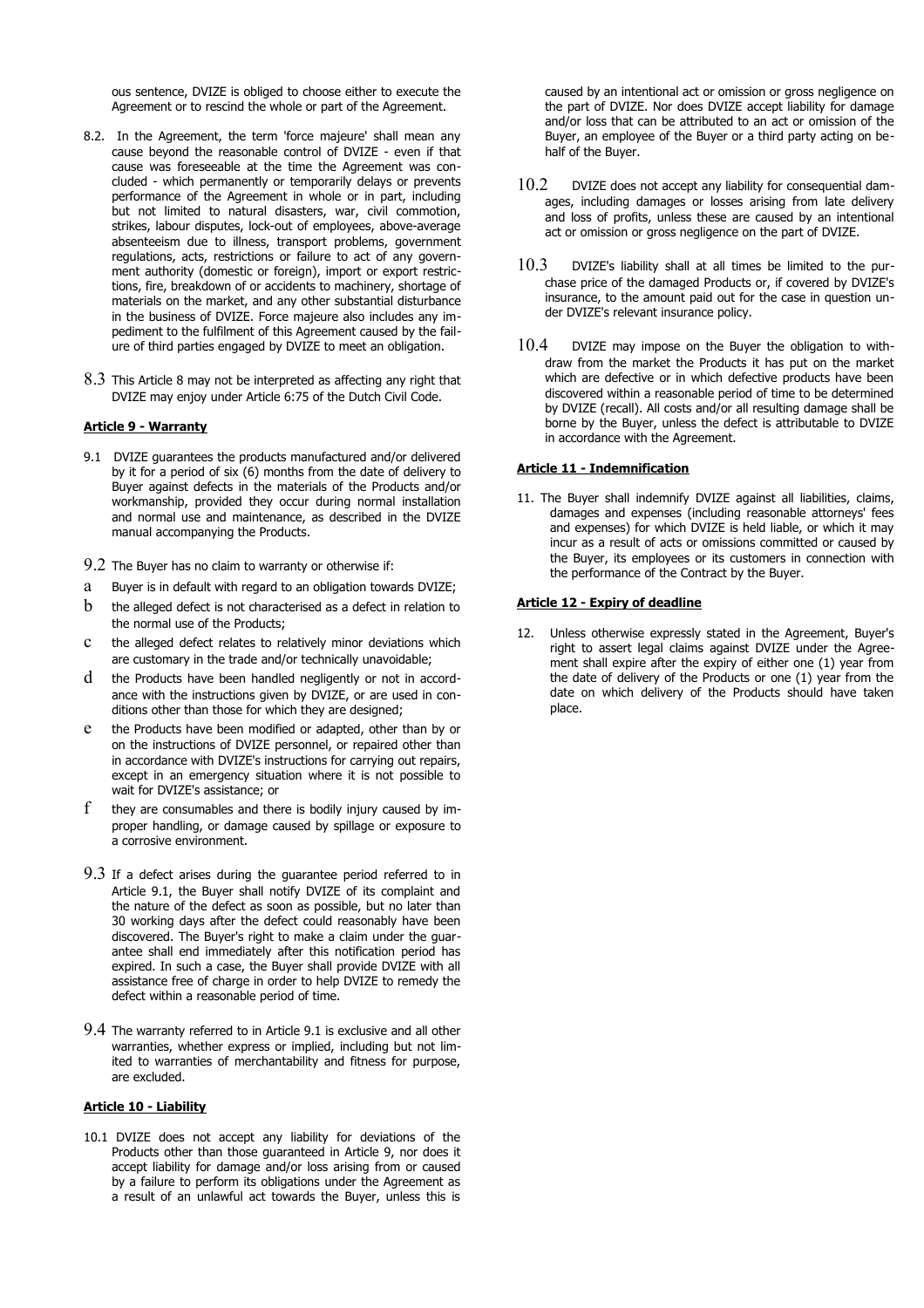ous sentence, DVIZE is obliged to choose either to execute the Agreement or to rescind the whole or part of the Agreement.

- 8.2. In the Agreement, the term 'force majeure' shall mean any cause beyond the reasonable control of DVIZE - even if that cause was foreseeable at the time the Agreement was concluded - which permanently or temporarily delays or prevents performance of the Agreement in whole or in part, including but not limited to natural disasters, war, civil commotion, strikes, labour disputes, lock-out of employees, above-average absenteeism due to illness, transport problems, government regulations, acts, restrictions or failure to act of any government authority (domestic or foreign), import or export restrictions, fire, breakdown of or accidents to machinery, shortage of materials on the market, and any other substantial disturbance in the business of DVIZE. Force majeure also includes any impediment to the fulfilment of this Agreement caused by the failure of third parties engaged by DVIZE to meet an obligation.
- 8.3 This Article 8 may not be interpreted as affecting any right that DVIZE may enjoy under Article 6:75 of the Dutch Civil Code.

## **Article 9 - Warranty**

- 9.1 DVIZE guarantees the products manufactured and/or delivered by it for a period of six (6) months from the date of delivery to Buyer against defects in the materials of the Products and/or workmanship, provided they occur during normal installation and normal use and maintenance, as described in the DVIZE manual accompanying the Products.
- 9.2 The Buyer has no claim to warranty or otherwise if:
- a Buyer is in default with regard to an obligation towards DVIZE;
- $b$  the alleged defect is not characterised as a defect in relation to the normal use of the Products;
- c the alleged defect relates to relatively minor deviations which are customary in the trade and/or technically unavoidable;
- d the Products have been handled negligently or not in accordance with the instructions given by DVIZE, or are used in conditions other than those for which they are designed;
- e the Products have been modified or adapted, other than by or on the instructions of DVIZE personnel, or repaired other than in accordance with DVIZE's instructions for carrying out repairs, except in an emergency situation where it is not possible to wait for DVIZE's assistance; or
- $f$  they are consumables and there is bodily injury caused by improper handling, or damage caused by spillage or exposure to a corrosive environment.
- 9.3 If a defect arises during the guarantee period referred to in Article 9.1, the Buyer shall notify DVIZE of its complaint and the nature of the defect as soon as possible, but no later than 30 working days after the defect could reasonably have been discovered. The Buyer's right to make a claim under the guarantee shall end immediately after this notification period has expired. In such a case, the Buyer shall provide DVIZE with all assistance free of charge in order to help DVIZE to remedy the defect within a reasonable period of time.
- 9.4 The warranty referred to in Article 9.1 is exclusive and all other warranties, whether express or implied, including but not limited to warranties of merchantability and fitness for purpose, are excluded.

#### **Article 10 - Liability**

10.1 DVIZE does not accept any liability for deviations of the Products other than those guaranteed in Article 9, nor does it accept liability for damage and/or loss arising from or caused by a failure to perform its obligations under the Agreement as a result of an unlawful act towards the Buyer, unless this is

caused by an intentional act or omission or gross negligence on the part of DVIZE. Nor does DVIZE accept liability for damage and/or loss that can be attributed to an act or omission of the Buyer, an employee of the Buyer or a third party acting on behalf of the Buyer.

- 10.2 DVIZE does not accept any liability for consequential damages, including damages or losses arising from late delivery and loss of profits, unless these are caused by an intentional act or omission or gross negligence on the part of DVIZE.
- $10.3$  DVIZE's liability shall at all times be limited to the purchase price of the damaged Products or, if covered by DVIZE's insurance, to the amount paid out for the case in question under DVIZE's relevant insurance policy.
- 10.4 DVIZE may impose on the Buyer the obligation to withdraw from the market the Products it has put on the market which are defective or in which defective products have been discovered within a reasonable period of time to be determined by DVIZE (recall). All costs and/or all resulting damage shall be borne by the Buyer, unless the defect is attributable to DVIZE in accordance with the Agreement.

# **Article 11 - Indemnification**

11. The Buyer shall indemnify DVIZE against all liabilities, claims, damages and expenses (including reasonable attorneys' fees and expenses) for which DVIZE is held liable, or which it may incur as a result of acts or omissions committed or caused by the Buyer, its employees or its customers in connection with the performance of the Contract by the Buyer.

#### **Article 12 - Expiry of deadline**

12. Unless otherwise expressly stated in the Agreement, Buyer's right to assert legal claims against DVIZE under the Agreement shall expire after the expiry of either one (1) year from the date of delivery of the Products or one (1) year from the date on which delivery of the Products should have taken place.